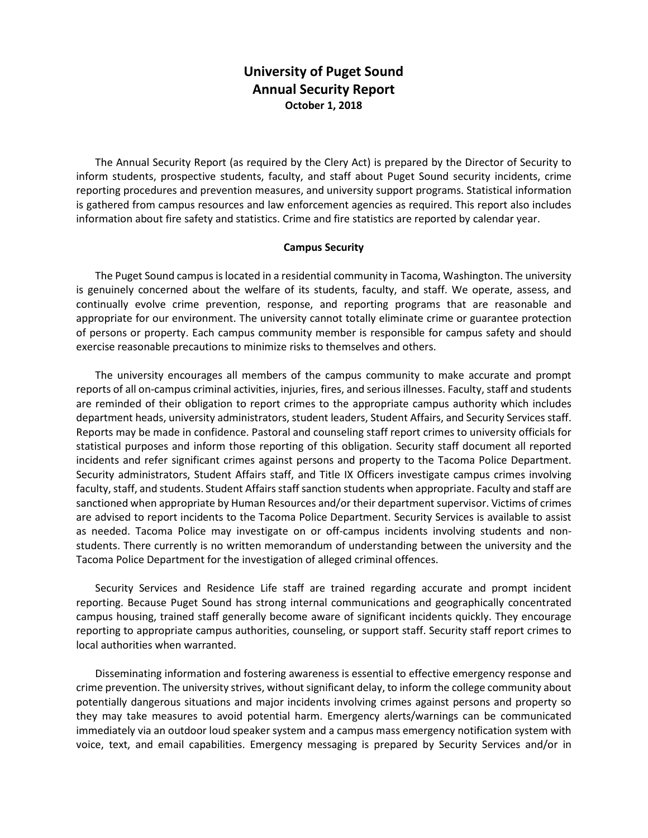## **University of Puget Sound Annual Security Report October 1, 2018**

The Annual Security Report (as required by the Clery Act) is prepared by the Director of Security to inform students, prospective students, faculty, and staff about Puget Sound security incidents, crime reporting procedures and prevention measures, and university support programs. Statistical information is gathered from campus resources and law enforcement agencies as required. This report also includes information about fire safety and statistics. Crime and fire statistics are reported by calendar year.

## **Campus Security**

The Puget Sound campus is located in a residential community in Tacoma, Washington. The university is genuinely concerned about the welfare of its students, faculty, and staff. We operate, assess, and continually evolve crime prevention, response, and reporting programs that are reasonable and appropriate for our environment. The university cannot totally eliminate crime or guarantee protection of persons or property. Each campus community member is responsible for campus safety and should exercise reasonable precautions to minimize risks to themselves and others.

The university encourages all members of the campus community to make accurate and prompt reports of all on-campus criminal activities, injuries, fires, and serious illnesses. Faculty, staff and students are reminded of their obligation to report crimes to the appropriate campus authority which includes department heads, university administrators, student leaders, Student Affairs, and Security Services staff. Reports may be made in confidence. Pastoral and counseling staff report crimes to university officials for statistical purposes and inform those reporting of this obligation. Security staff document all reported incidents and refer significant crimes against persons and property to the Tacoma Police Department. Security administrators, Student Affairs staff, and Title IX Officers investigate campus crimes involving faculty, staff, and students. Student Affairs staff sanction students when appropriate. Faculty and staff are sanctioned when appropriate by Human Resources and/or their department supervisor. Victims of crimes are advised to report incidents to the Tacoma Police Department. Security Services is available to assist as needed. Tacoma Police may investigate on or off-campus incidents involving students and nonstudents. There currently is no written memorandum of understanding between the university and the Tacoma Police Department for the investigation of alleged criminal offences.

Security Services and Residence Life staff are trained regarding accurate and prompt incident reporting. Because Puget Sound has strong internal communications and geographically concentrated campus housing, trained staff generally become aware of significant incidents quickly. They encourage reporting to appropriate campus authorities, counseling, or support staff. Security staff report crimes to local authorities when warranted.

Disseminating information and fostering awareness is essential to effective emergency response and crime prevention. The university strives, without significant delay, to inform the college community about potentially dangerous situations and major incidents involving crimes against persons and property so they may take measures to avoid potential harm. Emergency alerts/warnings can be communicated immediately via an outdoor loud speaker system and a campus mass emergency notification system with voice, text, and email capabilities. Emergency messaging is prepared by Security Services and/or in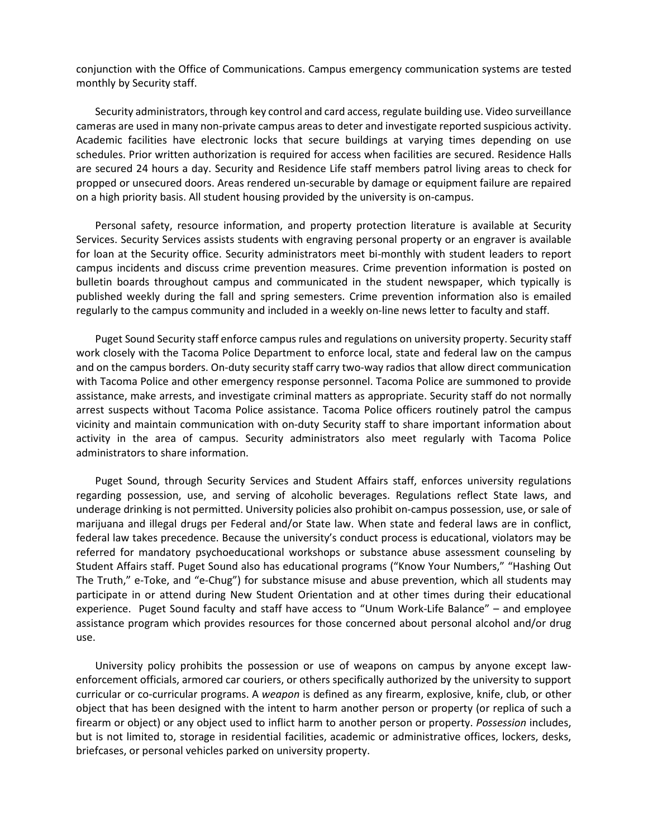conjunction with the Office of Communications. Campus emergency communication systems are tested monthly by Security staff.

Security administrators, through key control and card access, regulate building use. Video surveillance cameras are used in many non-private campus areas to deter and investigate reported suspicious activity. Academic facilities have electronic locks that secure buildings at varying times depending on use schedules. Prior written authorization is required for access when facilities are secured. Residence Halls are secured 24 hours a day. Security and Residence Life staff members patrol living areas to check for propped or unsecured doors. Areas rendered un-securable by damage or equipment failure are repaired on a high priority basis. All student housing provided by the university is on-campus.

Personal safety, resource information, and property protection literature is available at Security Services. Security Services assists students with engraving personal property or an engraver is available for loan at the Security office. Security administrators meet bi-monthly with student leaders to report campus incidents and discuss crime prevention measures. Crime prevention information is posted on bulletin boards throughout campus and communicated in the student newspaper, which typically is published weekly during the fall and spring semesters. Crime prevention information also is emailed regularly to the campus community and included in a weekly on-line news letter to faculty and staff.

Puget Sound Security staff enforce campus rules and regulations on university property. Security staff work closely with the Tacoma Police Department to enforce local, state and federal law on the campus and on the campus borders. On-duty security staff carry two-way radios that allow direct communication with Tacoma Police and other emergency response personnel. Tacoma Police are summoned to provide assistance, make arrests, and investigate criminal matters as appropriate. Security staff do not normally arrest suspects without Tacoma Police assistance. Tacoma Police officers routinely patrol the campus vicinity and maintain communication with on-duty Security staff to share important information about activity in the area of campus. Security administrators also meet regularly with Tacoma Police administrators to share information.

Puget Sound, through Security Services and Student Affairs staff, enforces university regulations regarding possession, use, and serving of alcoholic beverages. Regulations reflect State laws, and underage drinking is not permitted. University policies also prohibit on-campus possession, use, or sale of marijuana and illegal drugs per Federal and/or State law. When state and federal laws are in conflict, federal law takes precedence. Because the university's conduct process is educational, violators may be referred for mandatory psychoeducational workshops or substance abuse assessment counseling by Student Affairs staff. Puget Sound also has educational programs ("Know Your Numbers," "Hashing Out The Truth," e-Toke, and "e-Chug") for substance misuse and abuse prevention, which all students may participate in or attend during New Student Orientation and at other times during their educational experience. Puget Sound faculty and staff have access to "Unum Work-Life Balance" – and employee assistance program which provides resources for those concerned about personal alcohol and/or drug use.

University policy prohibits the possession or use of weapons on campus by anyone except lawenforcement officials, armored car couriers, or others specifically authorized by the university to support curricular or co-curricular programs. A *weapon* is defined as any firearm, explosive, knife, club, or other object that has been designed with the intent to harm another person or property (or replica of such a firearm or object) or any object used to inflict harm to another person or property. *Possession* includes, but is not limited to, storage in residential facilities, academic or administrative offices, lockers, desks, briefcases, or personal vehicles parked on university property.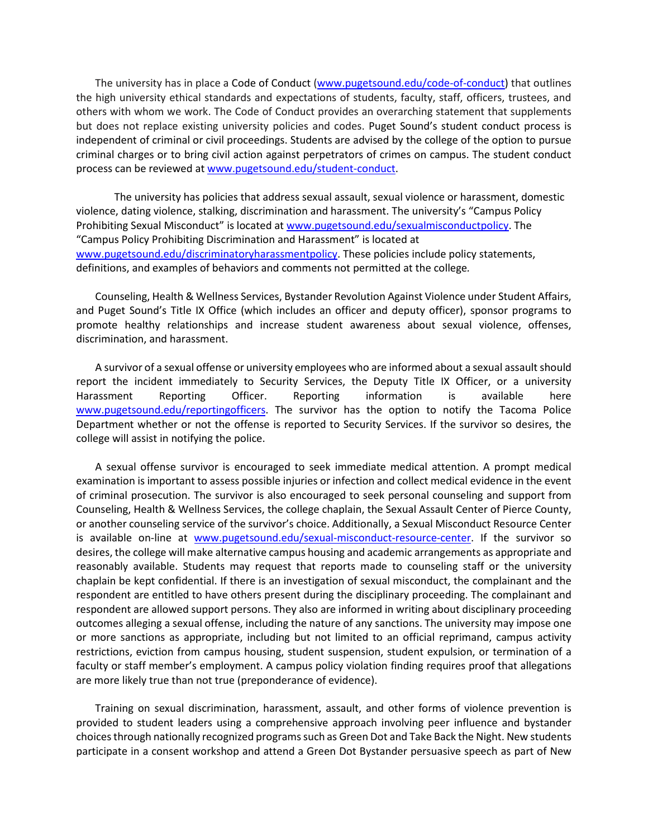The university has in place a [Code of Conduct](http://www.pugetsound.edu/files/resources/2129_PolicyCodeofConduct.pdf) [\(www.pugetsound.edu/code-of-conduct\)](http://www.pugetsound.edu/code-of-conduct) that outlines the high university ethical standards and expectations of students, faculty, staff, officers, trustees, and others with whom we work. The Code of Conduct provides an overarching statement that supplements but does not replace existing university policies and codes. Puget Sound's student conduct process is independent of criminal or civil proceedings. Students are advised by the college of the option to pursue criminal charges or to bring civil action against perpetrators of crimes on campus. The student conduct process can be reviewed at [www.pugetsound.edu/student-conduct.](http://www.pugetsound.edu/student-conduct)

The university has policies that address sexual assault, sexual violence or harassment, domestic violence, dating violence, stalking, discrimination and harassment. The university's "Campus Policy Prohibiting Sexual Misconduct" is located at [www.pugetsound.edu/sexualmisconductpolicy.](http://www.pugetsound.edu/sexualmisconductpolicy) The "Campus Policy Prohibiting Discrimination and Harassment" is located at [www.pugetsound.edu/discriminatoryharassmentpolicy.](http://www.pugetsound.edu/discriminatoryharassmentpolicy) These policies include policy statements, definitions, and examples of behaviors and comments not permitted at the college*.* 

Counseling, Health & Wellness Services, Bystander Revolution Against Violence under Student Affairs, and Puget Sound's Title IX Office (which includes an officer and deputy officer), sponsor programs to promote healthy relationships and increase student awareness about sexual violence, offenses, discrimination, and harassment.

A survivor of a sexual offense or university employees who are informed about a sexual assault should report the incident immediately to Security Services, the Deputy Title IX Officer, or a university Harassment Reporting Officer. Reporting information is available here [www.pugetsound.edu/reportingofficers.](http://www.pugetsound.edu/reportingofficers) The survivor has the option to notify the Tacoma Police Department whether or not the offense is reported to Security Services. If the survivor so desires, the college will assist in notifying the police.

A sexual offense survivor is encouraged to seek immediate medical attention. A prompt medical examination is important to assess possible injuries or infection and collect medical evidence in the event of criminal prosecution. The survivor is also encouraged to seek personal counseling and support from Counseling, Health & Wellness Services, the college chaplain, the Sexual Assault Center of Pierce County, or another counseling service of the survivor's choice. Additionally, a Sexual Misconduct Resource Center is available on-line at [www.pugetsound.edu/sexual-misconduct-resource-center.](http://www.pugetsound.edu/sexual-misconduct-resource-center) If the survivor so desires, the college will make alternative campus housing and academic arrangements as appropriate and reasonably available. Students may request that reports made to counseling staff or the university chaplain be kept confidential. If there is an investigation of sexual misconduct, the complainant and the respondent are entitled to have others present during the disciplinary proceeding. The complainant and respondent are allowed support persons. They also are informed in writing about disciplinary proceeding outcomes alleging a sexual offense, including the nature of any sanctions. The university may impose one or more sanctions as appropriate, including but not limited to an official reprimand, campus activity restrictions, eviction from campus housing, student suspension, student expulsion, or termination of a faculty or staff member's employment. A campus policy violation finding requires proof that allegations are more likely true than not true (preponderance of evidence).

Training on sexual discrimination, harassment, assault, and other forms of violence prevention is provided to student leaders using a comprehensive approach involving peer influence and bystander choices through nationally recognized programs such as Green Dot and Take Back the Night. New students participate in a consent workshop and attend a Green Dot Bystander persuasive speech as part of New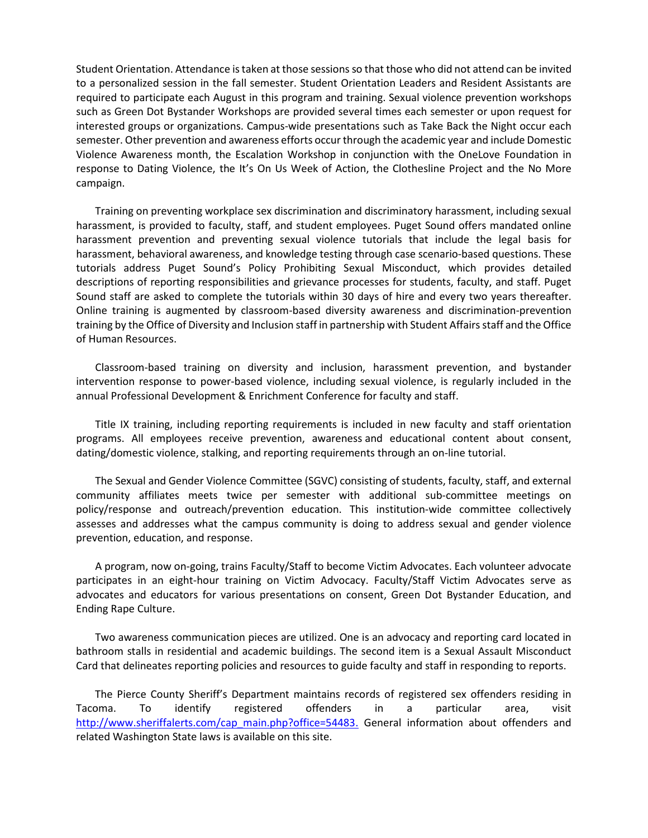Student Orientation. Attendance is taken at those sessions so that those who did not attend can be invited to a personalized session in the fall semester. Student Orientation Leaders and Resident Assistants are required to participate each August in this program and training. Sexual violence prevention workshops such as Green Dot Bystander Workshops are provided several times each semester or upon request for interested groups or organizations. Campus-wide presentations such as Take Back the Night occur each semester. Other prevention and awareness efforts occur through the academic year and include Domestic Violence Awareness month, the Escalation Workshop in conjunction with the OneLove Foundation in response to Dating Violence, the It's On Us Week of Action, the Clothesline Project and the No More campaign.

Training on preventing workplace sex discrimination and discriminatory harassment, including sexual harassment, is provided to faculty, staff, and student employees. Puget Sound offers mandated online harassment prevention and preventing sexual violence tutorials that include the legal basis for harassment, behavioral awareness, and knowledge testing through case scenario-based questions. These tutorials address Puget Sound's Policy Prohibiting Sexual Misconduct, which provides detailed descriptions of reporting responsibilities and grievance processes for students, faculty, and staff. Puget Sound staff are asked to complete the tutorials within 30 days of hire and every two years thereafter. Online training is augmented by classroom-based diversity awareness and discrimination-prevention training by the Office of Diversity and Inclusion staff in partnership with Student Affairs staff and the Office of Human Resources.

Classroom-based training on diversity and inclusion, harassment prevention, and bystander intervention response to power-based violence, including sexual violence, is regularly included in the annual Professional Development & Enrichment Conference for faculty and staff.

Title IX training, including reporting requirements is included in new faculty and staff orientation programs. All employees receive prevention, awareness and educational content about consent, dating/domestic violence, stalking, and reporting requirements through an on-line tutorial.

The Sexual and Gender Violence Committee (SGVC) consisting of students, faculty, staff, and external community affiliates meets twice per semester with additional sub-committee meetings on policy/response and outreach/prevention education. This institution-wide committee collectively assesses and addresses what the campus community is doing to address sexual and gender violence prevention, education, and response.

A program, now on-going, trains Faculty/Staff to become Victim Advocates. Each volunteer advocate participates in an eight-hour training on Victim Advocacy. Faculty/Staff Victim Advocates serve as advocates and educators for various presentations on consent, Green Dot Bystander Education, and Ending Rape Culture.

Two awareness communication pieces are utilized. One is an advocacy and reporting card located in bathroom stalls in residential and academic buildings. The second item is a Sexual Assault Misconduct Card that delineates reporting policies and resources to guide faculty and staff in responding to reports.

The Pierce County Sheriff's Department maintains records of registered sex offenders residing in Tacoma. To identify registered offenders in a particular area, visit [http://www.sheriffalerts.com/cap\\_main.php?office=54483.](http://www.sheriffalerts.com/cap_main.php?office=54483) General information about offenders and related Washington State laws is available on this site.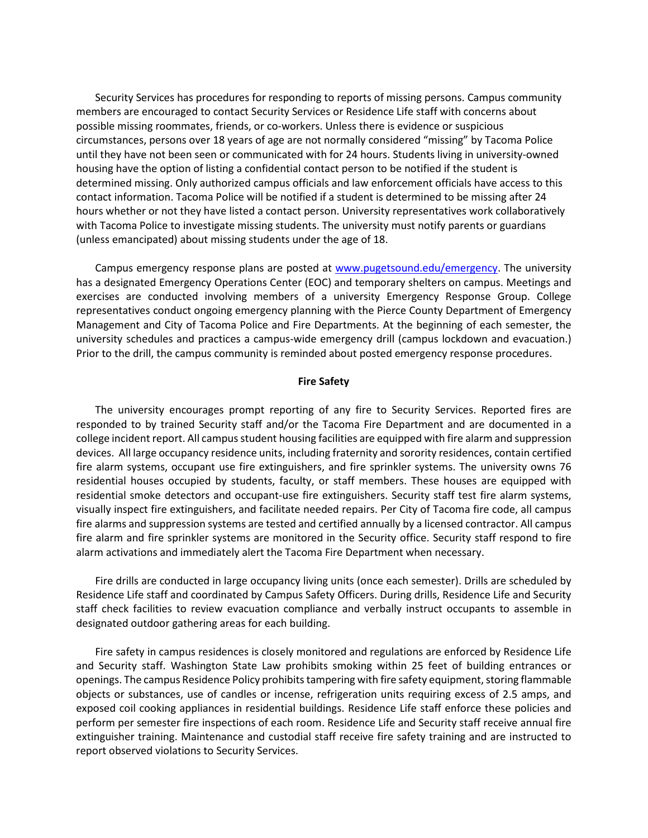Security Services has procedures for responding to reports of missing persons. Campus community members are encouraged to contact Security Services or Residence Life staff with concerns about possible missing roommates, friends, or co-workers. Unless there is evidence or suspicious circumstances, persons over 18 years of age are not normally considered "missing" by Tacoma Police until they have not been seen or communicated with for 24 hours. Students living in university-owned housing have the option of listing a confidential contact person to be notified if the student is determined missing. Only authorized campus officials and law enforcement officials have access to this contact information. Tacoma Police will be notified if a student is determined to be missing after 24 hours whether or not they have listed a contact person. University representatives work collaboratively with Tacoma Police to investigate missing students. The university must notify parents or guardians (unless emancipated) about missing students under the age of 18.

Campus emergency response plans are posted at [www.pugetsound.edu/emergency.](http://www.pugetsound.edu/emergency) The university has a designated Emergency Operations Center (EOC) and temporary shelters on campus. Meetings and exercises are conducted involving members of a university Emergency Response Group. College representatives conduct ongoing emergency planning with the Pierce County Department of Emergency Management and City of Tacoma Police and Fire Departments. At the beginning of each semester, the university schedules and practices a campus-wide emergency drill (campus lockdown and evacuation.) Prior to the drill, the campus community is reminded about posted emergency response procedures.

## **Fire Safety**

The university encourages prompt reporting of any fire to Security Services. Reported fires are responded to by trained Security staff and/or the Tacoma Fire Department and are documented in a college incident report. All campus student housing facilities are equipped with fire alarm and suppression devices. All large occupancy residence units, including fraternity and sorority residences, contain certified fire alarm systems, occupant use fire extinguishers, and fire sprinkler systems. The university owns 76 residential houses occupied by students, faculty, or staff members. These houses are equipped with residential smoke detectors and occupant-use fire extinguishers. Security staff test fire alarm systems, visually inspect fire extinguishers, and facilitate needed repairs. Per City of Tacoma fire code, all campus fire alarms and suppression systems are tested and certified annually by a licensed contractor. All campus fire alarm and fire sprinkler systems are monitored in the Security office. Security staff respond to fire alarm activations and immediately alert the Tacoma Fire Department when necessary.

Fire drills are conducted in large occupancy living units (once each semester). Drills are scheduled by Residence Life staff and coordinated by Campus Safety Officers. During drills, Residence Life and Security staff check facilities to review evacuation compliance and verbally instruct occupants to assemble in designated outdoor gathering areas for each building.

Fire safety in campus residences is closely monitored and regulations are enforced by Residence Life and Security staff. Washington State Law prohibits smoking within 25 feet of building entrances or openings. The campus Residence Policy prohibits tampering with fire safety equipment, storing flammable objects or substances, use of candles or incense, refrigeration units requiring excess of 2.5 amps, and exposed coil cooking appliances in residential buildings. Residence Life staff enforce these policies and perform per semester fire inspections of each room. Residence Life and Security staff receive annual fire extinguisher training. Maintenance and custodial staff receive fire safety training and are instructed to report observed violations to Security Services.